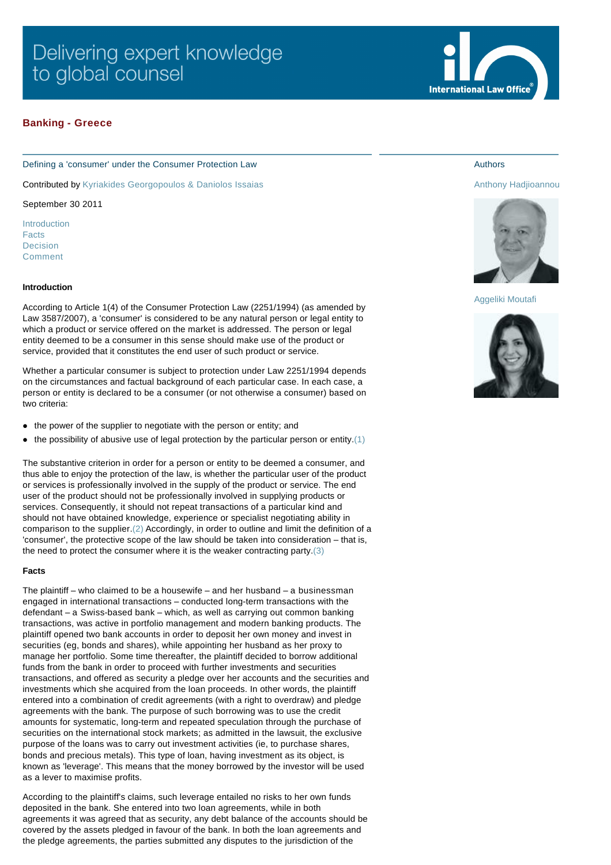# Delivering expert knowledge to global counsel

# **Banking - Greece**

## Defining a 'consumer' under the Consumer Protection Law

Contributed by [Kyriakides Georgopoulos & Daniolos Issaias](http://www.internationallawoffice.com/gesr.ashx?l=7FVGCBJ)

September 30 2011

[Introduction](#page-0-0) [Facts](#page-0-1) [Decision](#page-1-0) [Comment](#page-2-0)

## <span id="page-0-0"></span>**Introduction**

According to Article 1(4) of the Consumer Protection Law (2251/1994) (as amended by Law 3587/2007), a 'consumer' is considered to be any natural person or legal entity to which a product or service offered on the market is addressed. The person or legal entity deemed to be a consumer in this sense should make use of the product or service, provided that it constitutes the end user of such product or service.

Whether a particular consumer is subject to protection under Law 2251/1994 depends on the circumstances and factual background of each particular case. In each case, a person or entity is declared to be a consumer (or not otherwise a consumer) based on two criteria:

- the power of the supplier to negotiate with the person or entity; and
- the possibility of abusive use of legal protection by the particular person or entity. $(1)$

The substantive criterion in order for a person or entity to be deemed a consumer, and thus able to enjoy the protection of the law, is whether the particular user of the product or services is professionally involved in the supply of the product or service. The end user of the product should not be professionally involved in supplying products or services. Consequently, it should not repeat transactions of a particular kind and should not have obtained knowledge, experience or specialist negotiating ability in comparison to the supplier.[\(2\)](#page-2-2) Accordingly, in order to outline and limit the definition of a 'consumer', the protective scope of the law should be taken into consideration – that is, the need to protect the consumer where it is the weaker contracting party.[\(3\)](#page-2-3)

## <span id="page-0-1"></span>**Facts**

The plaintiff – who claimed to be a housewife – and her husband – a businessman engaged in international transactions – conducted long-term transactions with the defendant – a Swiss-based bank – which, as well as carrying out common banking transactions, was active in portfolio management and modern banking products. The plaintiff opened two bank accounts in order to deposit her own money and invest in securities (eg, bonds and shares), while appointing her husband as her proxy to manage her portfolio. Some time thereafter, the plaintiff decided to borrow additional funds from the bank in order to proceed with further investments and securities transactions, and offered as security a pledge over her accounts and the securities and investments which she acquired from the loan proceeds. In other words, the plaintiff entered into a combination of credit agreements (with a right to overdraw) and pledge agreements with the bank. The purpose of such borrowing was to use the credit amounts for systematic, long-term and repeated speculation through the purchase of securities on the international stock markets; as admitted in the lawsuit, the exclusive purpose of the loans was to carry out investment activities (ie, to purchase shares, bonds and precious metals). This type of loan, having investment as its object, is known as 'leverage'. This means that the money borrowed by the investor will be used as a lever to maximise profits.

According to the plaintiff's claims, such leverage entailed no risks to her own funds deposited in the bank. She entered into two loan agreements, while in both agreements it was agreed that as security, any debt balance of the accounts should be covered by the assets pledged in favour of the bank. In both the loan agreements and the pledge agreements, the parties submitted any disputes to the jurisdiction of the



# Authors

[Anthony Hadjioannou](http://www.internationallawoffice.com/gesr.ashx?l=7FVGCDX)



## [Aggeliki Moutafi](http://www.internationallawoffice.com/gesr.ashx?l=7FVGCF8)

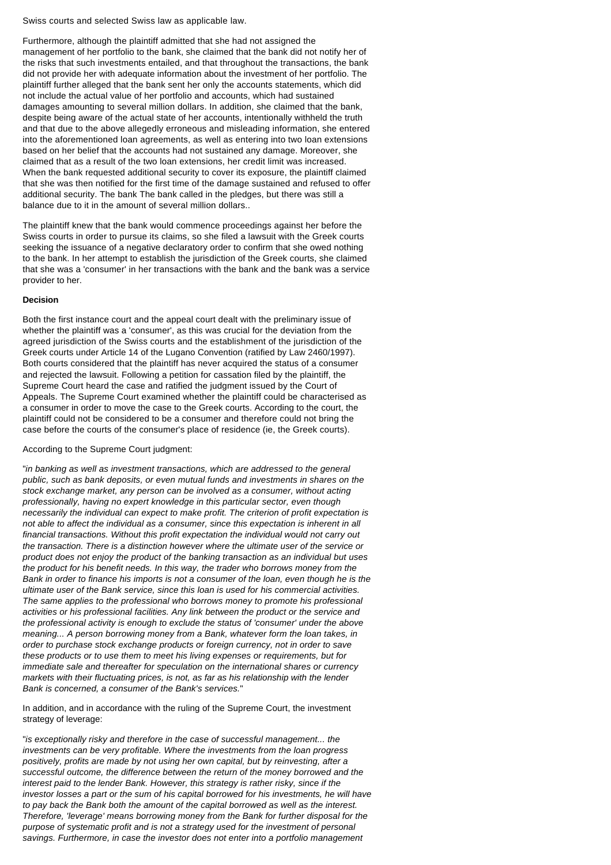Swiss courts and selected Swiss law as applicable law.

Furthermore, although the plaintiff admitted that she had not assigned the management of her portfolio to the bank, she claimed that the bank did not notify her of the risks that such investments entailed, and that throughout the transactions, the bank did not provide her with adequate information about the investment of her portfolio. The plaintiff further alleged that the bank sent her only the accounts statements, which did not include the actual value of her portfolio and accounts, which had sustained damages amounting to several million dollars. In addition, she claimed that the bank, despite being aware of the actual state of her accounts, intentionally withheld the truth and that due to the above allegedly erroneous and misleading information, she entered into the aforementioned loan agreements, as well as entering into two loan extensions based on her belief that the accounts had not sustained any damage. Moreover, she claimed that as a result of the two loan extensions, her credit limit was increased. When the bank requested additional security to cover its exposure, the plaintiff claimed that she was then notified for the first time of the damage sustained and refused to offer additional security. The bank The bank called in the pledges, but there was still a balance due to it in the amount of several million dollars..

The plaintiff knew that the bank would commence proceedings against her before the Swiss courts in order to pursue its claims, so she filed a lawsuit with the Greek courts seeking the issuance of a negative declaratory order to confirm that she owed nothing to the bank. In her attempt to establish the jurisdiction of the Greek courts, she claimed that she was a 'consumer' in her transactions with the bank and the bank was a service provider to her.

## <span id="page-1-0"></span>**Decision**

Both the first instance court and the appeal court dealt with the preliminary issue of whether the plaintiff was a 'consumer', as this was crucial for the deviation from the agreed jurisdiction of the Swiss courts and the establishment of the jurisdiction of the Greek courts under Article 14 of the Lugano Convention (ratified by Law 2460/1997). Both courts considered that the plaintiff has never acquired the status of a consumer and rejected the lawsuit. Following a petition for cassation filed by the plaintiff, the Supreme Court heard the case and ratified the judgment issued by the Court of Appeals. The Supreme Court examined whether the plaintiff could be characterised as a consumer in order to move the case to the Greek courts. According to the court, the plaintiff could not be considered to be a consumer and therefore could not bring the case before the courts of the consumer's place of residence (ie, the Greek courts).

According to the Supreme Court judgment:

"*in banking as well as investment transactions, which are addressed to the general public, such as bank deposits, or even mutual funds and investments in shares on the stock exchange market, any person can be involved as a consumer, without acting professionally, having no expert knowledge in this particular sector, even though necessarily the individual can expect to make profit. The criterion of profit expectation is not able to affect the individual as a consumer, since this expectation is inherent in all financial transactions. Without this profit expectation the individual would not carry out the transaction. There is a distinction however where the ultimate user of the service or product does not enjoy the product of the banking transaction as an individual but uses the product for his benefit needs. In this way, the trader who borrows money from the Bank in order to finance his imports is not a consumer of the loan, even though he is the ultimate user of the Bank service, since this loan is used for his commercial activities. The same applies to the professional who borrows money to promote his professional activities or his professional facilities. Any link between the product or the service and the professional activity is enough to exclude the status of 'consumer' under the above meaning... A person borrowing money from a Bank, whatever form the loan takes, in order to purchase stock exchange products or foreign currency, not in order to save these products or to use them to meet his living expenses or requirements, but for immediate sale and thereafter for speculation on the international shares or currency markets with their fluctuating prices, is not, as far as his relationship with the lender Bank is concerned, a consumer of the Bank's services.*"

In addition, and in accordance with the ruling of the Supreme Court, the investment strategy of leverage:

"*is exceptionally risky and therefore in the case of successful management... the investments can be very profitable. Where the investments from the loan progress positively, profits are made by not using her own capital, but by reinvesting, after a successful outcome, the difference between the return of the money borrowed and the interest paid to the lender Bank. However, this strategy is rather risky, since if the investor losses a part or the sum of his capital borrowed for his investments, he will have to pay back the Bank both the amount of the capital borrowed as well as the interest. Therefore, 'leverage' means borrowing money from the Bank for further disposal for the purpose of systematic profit and is not a strategy used for the investment of personal savings. Furthermore, in case the investor does not enter into a portfolio management*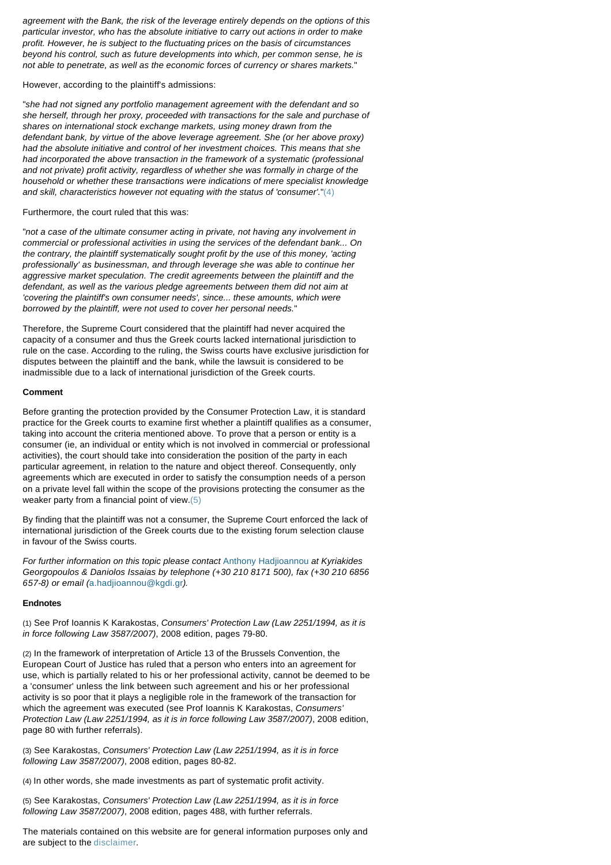*agreement with the Bank, the risk of the leverage entirely depends on the options of this particular investor, who has the absolute initiative to carry out actions in order to make profit. However, he is subject to the fluctuating prices on the basis of circumstances beyond his control, such as future developments into which, per common sense, he is not able to penetrate, as well as the economic forces of currency or shares markets.*"

However, according to the plaintiff's admissions:

"*she had not signed any portfolio management agreement with the defendant and so she herself, through her proxy, proceeded with transactions for the sale and purchase of shares on international stock exchange markets, using money drawn from the defendant bank, by virtue of the above leverage agreement. She (or her above proxy) had the absolute initiative and control of her investment choices. This means that she had incorporated the above transaction in the framework of a systematic (professional and not private) profit activity, regardless of whether she was formally in charge of the household or whether these transactions were indications of mere specialist knowledge and skill, characteristics however not equating with the status of 'consumer'.*["\(4\)](#page-2-4)

Furthermore, the court ruled that this was:

"*not a case of the ultimate consumer acting in private, not having any involvement in commercial or professional activities in using the services of the defendant bank... On the contrary, the plaintiff systematically sought profit by the use of this money, 'acting professionally' as businessman, and through leverage she was able to continue her aggressive market speculation. The credit agreements between the plaintiff and the defendant, as well as the various pledge agreements between them did not aim at 'covering the plaintiff's own consumer needs', since... these amounts, which were borrowed by the plaintiff, were not used to cover her personal needs.*"

Therefore, the Supreme Court considered that the plaintiff had never acquired the capacity of a consumer and thus the Greek courts lacked international jurisdiction to rule on the case. According to the ruling, the Swiss courts have exclusive jurisdiction for disputes between the plaintiff and the bank, while the lawsuit is considered to be inadmissible due to a lack of international jurisdiction of the Greek courts.

### <span id="page-2-0"></span>**Comment**

Before granting the protection provided by the Consumer Protection Law, it is standard practice for the Greek courts to examine first whether a plaintiff qualifies as a consumer, taking into account the criteria mentioned above. To prove that a person or entity is a consumer (ie, an individual or entity which is not involved in commercial or professional activities), the court should take into consideration the position of the party in each particular agreement, in relation to the nature and object thereof. Consequently, only agreements which are executed in order to satisfy the consumption needs of a person on a private level fall within the scope of the provisions protecting the consumer as the weaker party from a financial point of view[.\(5\)](#page-2-5)

By finding that the plaintiff was not a consumer, the Supreme Court enforced the lack of international jurisdiction of the Greek courts due to the existing forum selection clause in favour of the Swiss courts.

*For further information on this topic please contact* [Anthony Hadjioannou](http://www.internationallawoffice.com/gesr.ashx?l=7FVGCBT) *at Kyriakides Georgopoulos & Daniolos Issaias by telephone (+30 210 8171 500), fax (+30 210 6856 657-8) or email (*[a.hadjioannou@kgdi.gr](mailto:a.hadjioannou@kgdi.gr?subject=Article%20on%20ILO)*).*

#### **Endnotes**

<span id="page-2-1"></span>(1) See Prof Ioannis K Karakostas, *Consumers' Protection Law (Law 2251/1994, as it is in force following Law 3587/2007)*, 2008 edition, pages 79-80.

<span id="page-2-2"></span>(2) In the framework of interpretation of Article 13 of the Brussels Convention, the European Court of Justice has ruled that a person who enters into an agreement for use, which is partially related to his or her professional activity, cannot be deemed to be a 'consumer' unless the link between such agreement and his or her professional activity is so poor that it plays a negligible role in the framework of the transaction for which the agreement was executed (see Prof Ioannis K Karakostas, *Consumers' Protection Law (Law 2251/1994, as it is in force following Law 3587/2007)*, 2008 edition, page 80 with further referrals).

<span id="page-2-3"></span>(3) See Karakostas, *Consumers' Protection Law (Law 2251/1994, as it is in force following Law 3587/2007)*, 2008 edition, pages 80-82.

<span id="page-2-4"></span>(4) In other words, she made investments as part of systematic profit activity.

<span id="page-2-5"></span>(5) See Karakostas, *Consumers' Protection Law (Law 2251/1994, as it is in force following Law 3587/2007)*, 2008 edition, pages 488, with further referrals.

The materials contained on this website are for general information purposes only and are subject to the [disclaimer.](http://www.internationallawoffice.com/gesr.ashx?l=7FVGCCE)